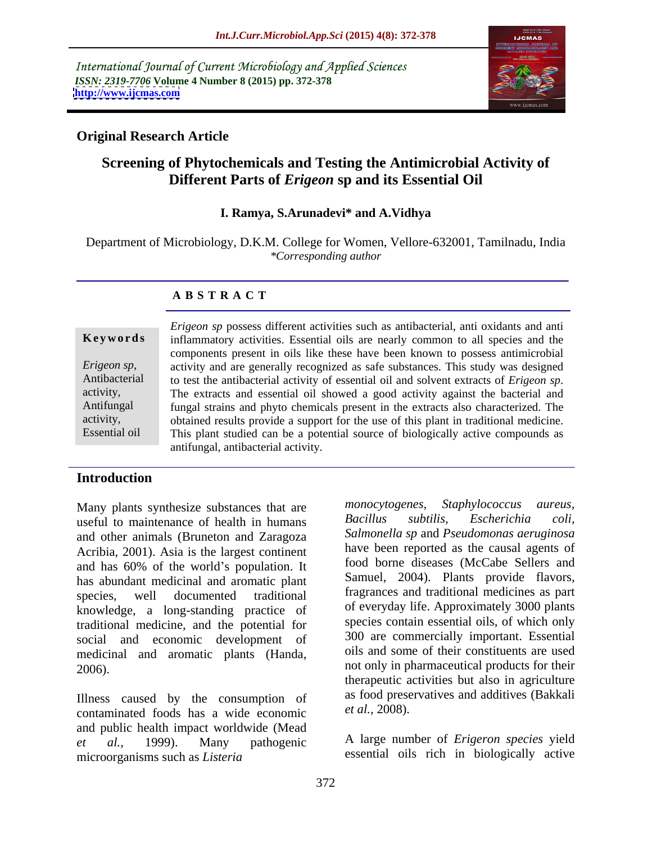International Journal of Current Microbiology and Applied Sciences *ISSN: 2319-7706* **Volume 4 Number 8 (2015) pp. 372-378 <http://www.ijcmas.com>**



## **Original Research Article**

# **Screening of Phytochemicals and Testing the Antimicrobial Activity of Different Parts of** *Erigeon* **sp and its Essential Oil**

### **I. Ramya, S.Arunadevi\* and A.Vidhya**

Department of Microbiology, D.K.M. College for Women, Vellore-632001, Tamilnadu, India *\*Corresponding author*

### **A B S T R A C T**

Essential oil

*Erigeon sp* possess different activities such as antibacterial, anti oxidants and anti **Keywords** inflammatory activities. Essential oils are nearly common to all species and the components present in oils like these have been known to possess antimicrobial activity and are generally recognized as safe substances. This study was designed Antibacterial to test the antibacterial activity of essential oil and solvent extracts of *Erigeon sp*.<br>activity, The extracts and essential oil showed a good activity against the bacterial and Antifungal fungal strains and phyto chemicals present in the extracts also characterized. The activity, butained results provide a support for the use of this plant in traditional medicine. This plant studied can be a potential source of biologically active compounds as antifungal, antibacterial activity. *Erigeon sp*, activity and are generally recognized as safe substances. This study was designed Antibacterial to test the antibacterial activity of essential oil and solvent extracts of *Erigeon sp*.

## **Introduction**

useful to maintenance of health in humans and other animals (Bruneton and Zaragoza Acribia, 2001). Asia is the largest continent and has 60% of the world's population. It has abundant medicinal and aromatic plant species, well documented traditional fragrances and traditional medicines as part knowledge, a long-standing practice of traditional medicine, and the potential for social and economic development of medicinal and aromatic plants (Handa,

Illness caused by the consumption of as  $1000 \text{ pres}$  as  $1000 \text{ pres}$  contaminated foods has a wide economic  $1000 \text{ disp}$ . contaminated foods has a wide economic and public health impact worldwide (Mead *et al.,* 1999). Many pathogenic A large number of *Erigeron species* yield microorganisms such as *Listeria*

Many plants synthesize substances that are monocytogenes, Staphylococcus aureus,<br>useful to maintenance of bealth in humans Bacillus subtilis. Escherichia coli. 2006). not only in pharmaceutical products for their *monocytogenes, Staphylococcus aureus, Bacillus subtilis, Escherichia coli, Salmonella sp* and *Pseudomonas aeruginosa* have been reported as the causal agents of food borne diseases (McCabe Sellers and Samuel, 2004). Plants provide flavors, of everyday life. Approximately 3000 plants species contain essential oils, of which only 300 are commercially important. Essential oils and some of their constituents are used therapeutic activities but also in agriculture as food preservatives and additives (Bakkali *et al.,* 2008).

essential oils rich in biologically active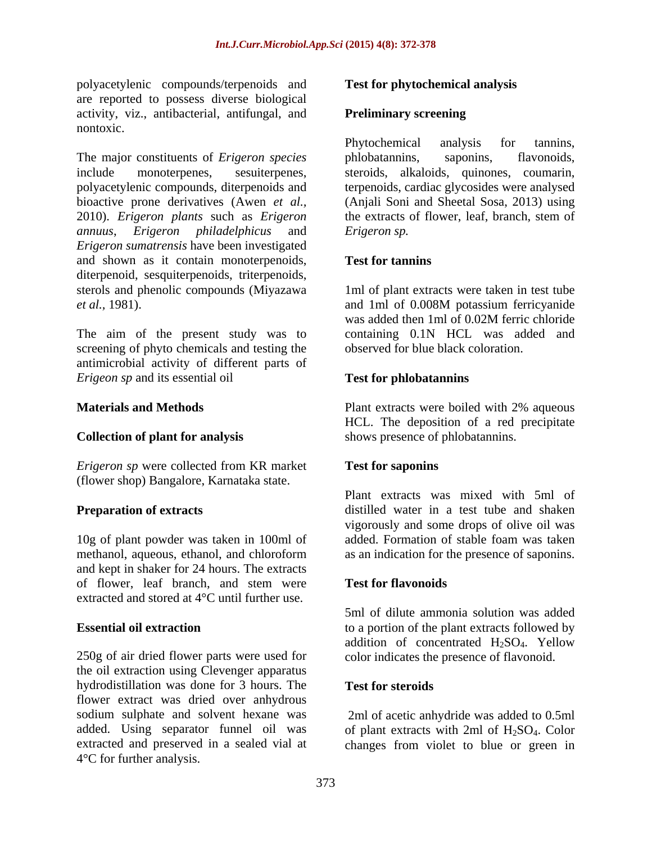polyacetylenic compounds/terpenoids and are reported to possess diverse biological activity, viz., antibacterial, antifungal, and nontoxic.

The major constituents of *Erigeron species* phlobatannins, saponins, flavonoids, 2010). *Erigeron plants* such as *Erigeron Erigeron sumatrensis* have been investigated and shown as it contain monoterpenoids, Test for tanning diterpenoid, sesquiterpenoids, triterpenoids, sterols and phenolic compounds (Miyazawa 1ml of plant extracts were taken in test tube

The aim of the present study was to screening of phyto chemicals and testing the antimicrobial activity of different parts of *Erigeon sp* and its essential oil

### **Collection of plant for analysis**

*Erigeron sp* were collected from KR market **Test for saponins** (flower shop) Bangalore, Karnataka state.

methanol, aqueous, ethanol, and chloroform and kept in shaker for 24 hours. The extracts of flower, leaf branch, and stem were **Test for flavonoids** extracted and stored at 4°C until further use.

250g of air dried flower parts were used for the oil extraction using Clevenger apparatus hydrodistillation was done for 3 hours. The Test for steroids flower extract was dried over anhydrous sodium sulphate and solvent hexane was added. Using separator funnel oil was of plant extracts with  $2ml$  of  $H_2SO_4$ . Color extracted and preserved in a sealed vial at changes from violet to blue or green in4°C for further analysis.

### **Test for phytochemical analysis**

### **Preliminary screening**

include monoterpenes, sesuiterpenes, steroids, alkaloids, quinones, coumarin, polyacetylenic compounds, diterpenoids and terpenoids, cardiac glycosides were analysed bioactive prone derivatives (Awen *et al.,* (Anjali Soni and Sheetal Sosa, 2013) using *annuus*, *Erigeron philadelphicus* and Phytochemical analysis for tannins, phlobatannins, saponins, flavonoids, the extracts of flower, leaf, branch, stem of *Erigeron sp.*

### **Test for tannins**

*et al.,* 1981). and 1ml of 0.008M potassium ferricyanide was added then 1ml of 0.02M ferric chloride containing 0.1N HCL was added and observed for blue black coloration.

### **Test for phlobatannins**

**Materials and Methods Extracts Plant extracts** were boiled with 2% aqueous HCL. The deposition of a red precipitate shows presence of phlobatannins.

### **Test for saponins**

**Preparation of extracts distilled** water in a test tube and shaken 10g of plant powder was taken in 100ml of added. Formation of stable foam was taken Plant extracts was mixed with 5ml of vigorously and some drops of olive oil was added. Formation of stable foam was taken as an indication for the presence of saponins.

### **Test for flavonoids**

**Essential oil extraction** to a portion of the plant extracts followed by 5ml of dilute ammonia solution was added addition of concentrated H2SO4. Yellow color indicates the presence of flavonoid.

### **Test for steroids**

2ml of acetic anhydride was added to 0.5ml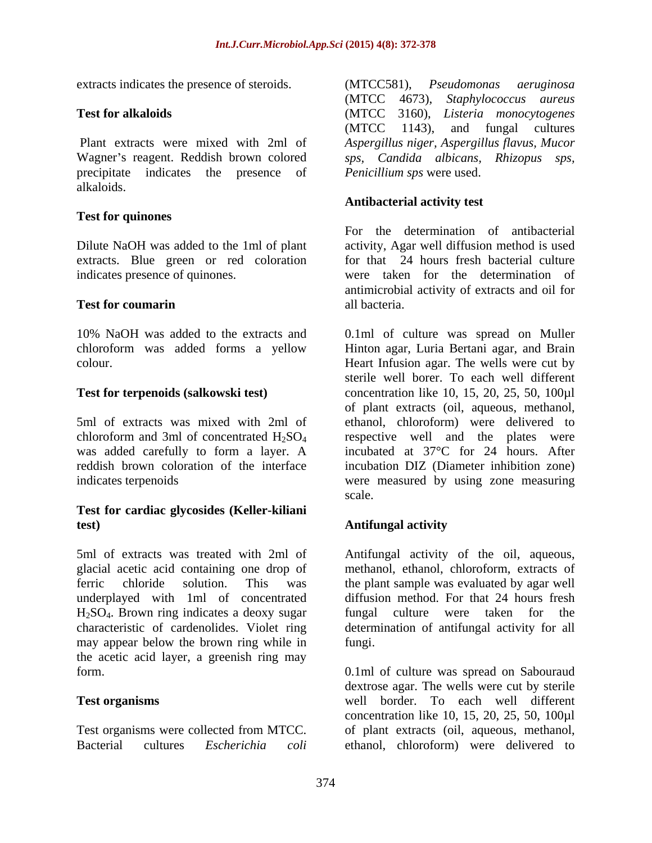Wagner's reagent. Reddish brown colored sps, Candida albicans, Rhizopus sps, precipitate indicates the presence of alkaloids.

### **Test for quinones**

Dilute NaOH was added to the 1ml of plant extracts. Blue green or red coloration

chloroform was added forms a yellow

was added carefully to form a layer. A

### **Test for cardiac glycosides (Keller-kiliani test)**

5ml of extracts was treated with 2ml of Antifungal activity of the oil, aqueous, glacial acetic acid containing one drop of methanol, ethanol, chloroform, extracts of ferric chloride solution. This was the plant sample was evaluated by agar well underplayed with 1ml of concentrated diffusion method. For that 24 hours fresh H<sub>2</sub>SO<sub>4</sub>. Brown ring indicates a deoxy sugar fungal culture were taken for the characteristic of cardenolides. Violet ring determination of antifungal activity for all characteristic of cardenolides. Violet ring determination of antifungal activity for all may appear below the brown ring while in the acetic acid layer, a greenish ring may

Bacterial cultures *Escherichia coli* ethanol, chloroform) were delivered to

extracts indicates the presence of steroids. (MTCC581), *Pseudomonas aeruginosa* **Test for alkaloids** (MTCC 3160), *Listeria monocytogenes* Plant extracts were mixed with 2ml of *Aspergillus niger, Aspergillus flavus, Mucor* (MTCC581), *Pseudomonas aeruginosa* (MTCC 4673), *Staphylococcus aureus*  (MTCC 1143), and fungal cultures *Penicillium sps* were used.

### **Antibacterial activity test**

indicates presence of quinones. were taken for the determination of **Test for coumarin** all bacteria. For the determination of antibacterial activity, Agar well diffusion method is used for that 24 hours fresh bacterial culture antimicrobial activity of extracts and oil for all bacteria.

10% NaOH was added to the extracts and 0.1ml of culture was spread on Muller colour. Heart Infusion agar. The wells were cut by **Test for terpenoids (salkowski test)**  concentration like 10, 15, 20, 25, 50, 100µl 5ml of extracts was mixed with 2ml of ethanol, chloroform) were delivered to chloroform and 3ml of concentrated  $H_2SO_4$  respective well and the plates were reddish brown coloration of the interface incubation DIZ (Diameter inhibition zone) indicates terpenoids were measured by using zone measuring Hinton agar, Luria Bertani agar, and Brain sterile well borer. To each well different of plant extracts (oil, aqueous, methanol, respective well and the plates were incubated at 37°C for 24 hours. After scale.

### **Antifungal activity**

fungal culture were taken for the fungi.

form. 0.1ml of culture was spread on Sabouraud **Test organisms** well border. To each well different Test organisms were collected from MTCC. of plant extracts (oil, aqueous, methanol, dextrose agar. The wells were cut by sterile concentration like 10, 15, 20, 25, 50, 100µl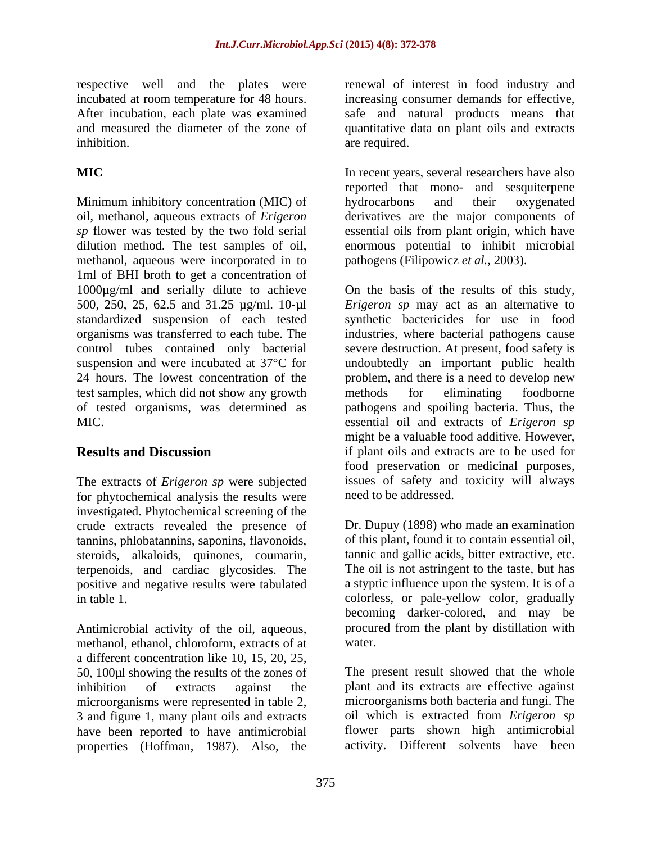respective well and the plates were incubated at room temperature for 48 hours.

Minimum inhibitory concentration (MIC) of hydrocarbons and their oxygenated oil, methanol, aqueous extracts of *Erigeron* derivatives are the major components of sp flower was tested by the two fold serial essential oils from plant origin, which have dilution method. The test samples of oil, enormous potential to inhibit microbial methanol, aqueous were incorporated in to 1ml of BHI broth to get a concentration of 1000µg/ml and serially dilute to achieve 500, 250, 25, 62.5 and 31.25 µg/ml. 10-µl test samples, which did not show any growth

The extracts of *Erigeron sp* were subjected for phytochemical analysis the results were investigated. Phytochemical screening of the crude extracts revealed the presence of tannins, phlobatannins, saponins, flavonoids, steroids, alkaloids, quinones, coumarin, terpenoids, and cardiac glycosides. The positive and negative results were tabulated

Antimicrobial activity of the oil, aqueous, methanol, ethanol, chloroform, extracts of at water. a different concentration like 10, 15, 20, 25, 50, 100µl showing the results of the zones of inhibition of extracts against the plant and its extracts are effective against microorganisms were represented in table 2, 3 and figure 1, many plant oils and extracts have been reported to have antimicrobial properties (Hoffman, 1987). Also, the

After incubation, each plate was examined safe and natural products means that and measured the diameter of the zone of quantitative data on plant oils and extracts inhibition. The contract of the contract of the contract of the contract of the contract of the contract of the contract of the contract of the contract of the contract of the contract of the contract of the contract of th renewal of interest in food industry and increasing consumer demands for effective, are required.

**MIC** In recent years, several researchers have also reported that mono- and sesquiterpene hydrocarbons and their oxygenated pathogens (Filipowicz *et al.,* 2003).

standardized suspension of each tested synthetic bactericides for use in food organisms was transferred to each tube. The industries, where bacterial pathogens cause control tubes contained only bacterial severe destruction. At present, food safety is suspension and were incubated at 37°C for undoubtedly an important public health 24 hours. The lowest concentration of the problem, and there is a need to develop new of tested organisms, was determined as pathogens and spoiling bacteria. Thus, the MIC. essential oil and extracts of *Erigeron sp* **Results and Discussion** if plant oils and extracts are to be used for On the basis of the results of this study, *Erigeron sp* may act as an alternative to methods for eliminating foodborne might be a valuable food additive. However, food preservation or medicinal purposes, issues of safety and toxicity will always need to be addressed.

in table 1. colorless, or pale-yellow color, gradually Dr. Dupuy (1898) who made an examination of this plant, found it to contain essential oil, tannic and gallic acids, bitter extractive, etc. The oil is not astringent to the taste, but has a styptic influence upon the system. It is of a becoming darker-colored, and may be procured from the plant by distillation with water.

> The present result showed that the whole microorganisms both bacteria and fungi. The oil which is extracted from *Erigeron sp* flower parts shown high antimicrobial activity. Different solvents have been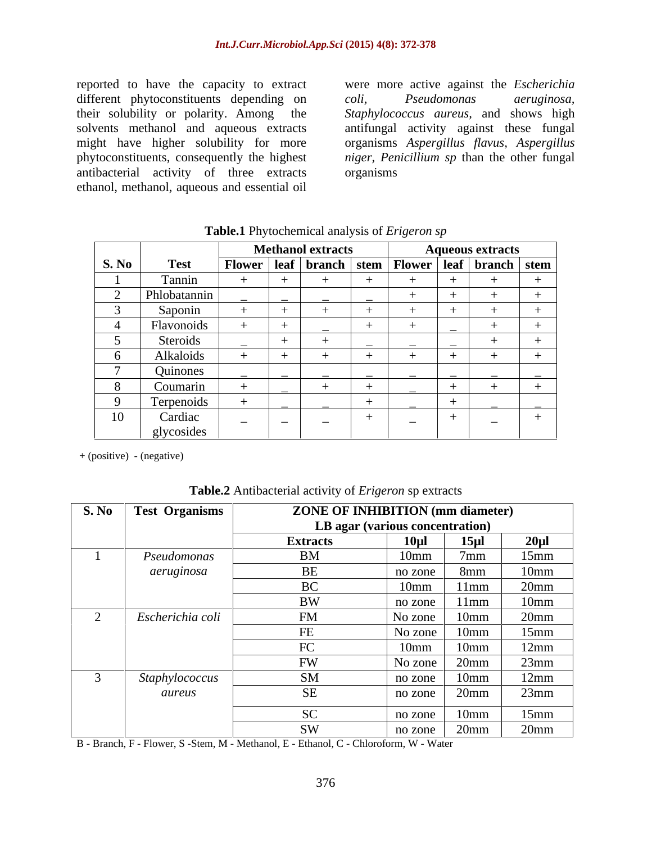reported to have the capacity to extract different phytoconstituents depending on coli, Pseudomonas aeruginosa, their solubility or polarity. Among the Staphylococcus aureus, and shows high solvents methanol and aqueous extracts antifungal activity against these fungal might have higher solubility for more organisms *Aspergillus flavus, Aspergillus* phytoconstituents, consequently the highest *niger, Penicillium sp* than the other fungal antibacterial activity of three extracts ethanol, methanol, aqueous and essential oil

were more active against the *Escherichia coli, Pseudomonas aeruginosa, Staphylococcus aureus,* and shows high organisms

|              |                   | <b>Methanol extracts</b>                                      |               |  |                                            | Aqueous extracts |                                   |  |  |
|--------------|-------------------|---------------------------------------------------------------|---------------|--|--------------------------------------------|------------------|-----------------------------------|--|--|
| <b>S. No</b> | <b>Test</b>       | Flower   leaf   branch   stem   Flower   leaf   branch   stem |               |  |                                            |                  |                                   |  |  |
|              | l'onnin           |                                                               |               |  |                                            |                  |                                   |  |  |
|              | Phlobatannin      |                                                               | ______        |  |                                            |                  |                                   |  |  |
|              | <b>Saponin</b>    |                                                               |               |  |                                            |                  |                                   |  |  |
|              | <b>Flavonoids</b> | the contract of the contract of                               | $\sim$ $\sim$ |  |                                            |                  |                                   |  |  |
|              | Steroids          |                                                               |               |  |                                            |                  |                                   |  |  |
|              | Alkaloids         |                                                               |               |  |                                            |                  |                                   |  |  |
|              | Quinones          |                                                               |               |  |                                            |                  |                                   |  |  |
|              | Coumarin          |                                                               | _______       |  | the control of the control of              | —————            | the control of the control of the |  |  |
|              | Terpenoids        |                                                               |               |  | and the state of the state of the state of |                  |                                   |  |  |
| $\sim$       | Cardiac           |                                                               | ______        |  | ______                                     |                  |                                   |  |  |
|              | glycosides        |                                                               |               |  |                                            |                  |                                   |  |  |

**Table.1** Phytochemical analysis of *Erigeron sp*

+ (positive) - (negative)

**Table.2** Antibacterial activity of *Erigeron* sp extracts

| S. No Test Organisms | <b>ZONE OF INHIBITION (mm diameter)</b> |                                 |                                      |  |  |  |  |  |
|----------------------|-----------------------------------------|---------------------------------|--------------------------------------|--|--|--|--|--|
|                      |                                         | LB agar (various concentration) |                                      |  |  |  |  |  |
|                      | <b>Extracts</b>                         | $15 \mu$<br>$10 \mu l$          | 20 <sub>u</sub>                      |  |  |  |  |  |
| Pseudomonas          | BM                                      | 10 <sub>mm</sub>                | $15$ mm<br>/mm                       |  |  |  |  |  |
| aeruginosa           | <b>BE</b>                               | $no$ zone                       | 10 <sub>mm</sub><br>8mm              |  |  |  |  |  |
|                      | $D^{\alpha}$                            | 10mm                            | $20$ mm<br>11mm                      |  |  |  |  |  |
|                      | <b>BW</b>                               | no zone                         | 11mm<br>10mm                         |  |  |  |  |  |
| Escherichia coli     | FM                                      | No zone                         | 20 <sub>mm</sub><br>10 <sub>mm</sub> |  |  |  |  |  |
|                      |                                         | No zone $ $                     | $15$ mm<br>10 <sub>mm</sub>          |  |  |  |  |  |
|                      |                                         | 10mm                            | 12mm<br>10mm                         |  |  |  |  |  |
|                      | TNT<br><b>HW</b>                        | No zone                         | 23mm<br>20 <sub>mm</sub>             |  |  |  |  |  |
| Staphylococcus       | <b>SM</b>                               | no zone                         | 12mm<br>10mm                         |  |  |  |  |  |
| aureus               | - SF                                    | no zone                         | 23mm<br>$20$ mm                      |  |  |  |  |  |
|                      | $\Omega$                                |                                 |                                      |  |  |  |  |  |
|                      |                                         | no zone                         | 15mm<br>10mm                         |  |  |  |  |  |
|                      | <b>SW</b>                               | 20 <sub>mm</sub><br>no zone     | 20 <sub>mm</sub>                     |  |  |  |  |  |

B - Branch, F - Flower, S -Stem, M - Methanol, E - Ethanol, C - Chloroform, W - Water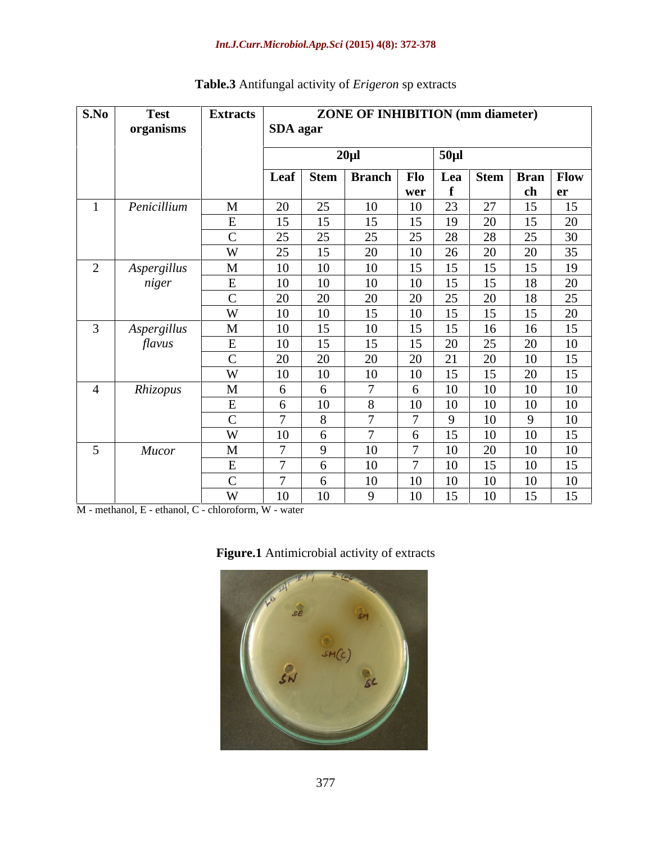| S.No<br><b>Test</b>   | <b>Extracts</b> |                 | <b>ZONE OF INHIBITION (mm diameter)</b> |                 |                                |                 |  |  |
|-----------------------|-----------------|-----------------|-----------------------------------------|-----------------|--------------------------------|-----------------|--|--|
| organisms             |                 | SDA agar        |                                         |                 |                                |                 |  |  |
|                       |                 |                 |                                         |                 |                                |                 |  |  |
|                       |                 |                 | $20 \mu$                                | $50 \mu$ l      |                                |                 |  |  |
|                       |                 |                 | Leaf Stem Branch Flo Lea Stem Bran Flow |                 |                                |                 |  |  |
|                       |                 |                 | wer                                     |                 | -ch                            | l er            |  |  |
| Penicillium           | $\mathbf{M}$    | 20              | 25<br>$10^{-1}$<br>$\overline{10}$      | $\cap$          | $\cap$                         |                 |  |  |
|                       |                 | 15              | 15<br>15                                | $10^{-7}$       | റ∩                             | 20              |  |  |
|                       |                 | 25<br><u>L.</u> | 25<br>$\gamma$<br>25                    | 28              | 28<br>$\bigcap$                | $30^{\circ}$    |  |  |
|                       | $\overline{M}$  | 25              | 15<br>20                                | 26              | 20<br>20                       | 35              |  |  |
| Aspergillus           | M               | 10              | 10<br>10                                |                 |                                |                 |  |  |
| niger                 |                 | 10              | 10<br>10 <sup>1</sup><br>10             |                 | 1 O                            | $\Omega$        |  |  |
|                       |                 | 20              | ാറ<br>$20^{\circ}$<br>20                | 25              | $20^{\circ}$<br>1 <sup>Q</sup> | 25              |  |  |
|                       | $\mathbf{X}$    | 10              | 10<br>10                                | ر ے             |                                | $\Omega$        |  |  |
|                       | $\mathbf{M}$    | 10              | 15<br>10                                | $1 \in$         | 16                             | 15              |  |  |
| Aspergillus<br>flavus |                 | 10              | 15                                      | 20              | 25<br>20                       | 1 <sub>0</sub>  |  |  |
|                       |                 |                 | ാറ                                      | $\mathbf{C}$    | $20^{\circ}$                   |                 |  |  |
|                       | <b>III</b>      | 20              | 20<br>20<br>10                          | $\angle$        | 10                             |                 |  |  |
|                       | <b>W</b>        | 10              | 10<br>10<br>$\overline{ }$              |                 |                                |                 |  |  |
| Rhizopus              | $\mathbf M$     |                 |                                         | 10 <sup>1</sup> | 10 <sup>1</sup><br>10          |                 |  |  |
|                       |                 |                 | 10<br>10                                | 10              | 10<br>10                       | $10^{-7}$       |  |  |
|                       |                 |                 |                                         | $\Omega$        | $10^{-7}$                      | $\overline{10}$ |  |  |
|                       | W               | 10              |                                         | $1 \leq$        | $10^{-}$<br>10                 | 15              |  |  |
| <b>Mucor</b>          | M               |                 | $10^{-7}$<br>$\Omega$                   | 10 <sup>1</sup> | $20^{\circ}$<br>10             | 10              |  |  |
|                       |                 |                 | $10^{-7}$                               | $10-1$          | $10^{-}$                       |                 |  |  |
|                       | $\sim$          |                 | 10 <sup>1</sup><br>11                   | 10 <sup>1</sup> | $10^{-7}$<br>10 <sup>1</sup>   | 10              |  |  |
|                       | W               | 10              | 10<br>10<br>- 9                         | 15              | 10<br>15                       | 15              |  |  |

# **Table.3** Antifungal activity of *Erigeron* sp extracts

M - methanol, E - ethanol, C - chloroform, W - water

| Figure.1 Antimicrobial activity of extracts |  |  |
|---------------------------------------------|--|--|
|---------------------------------------------|--|--|